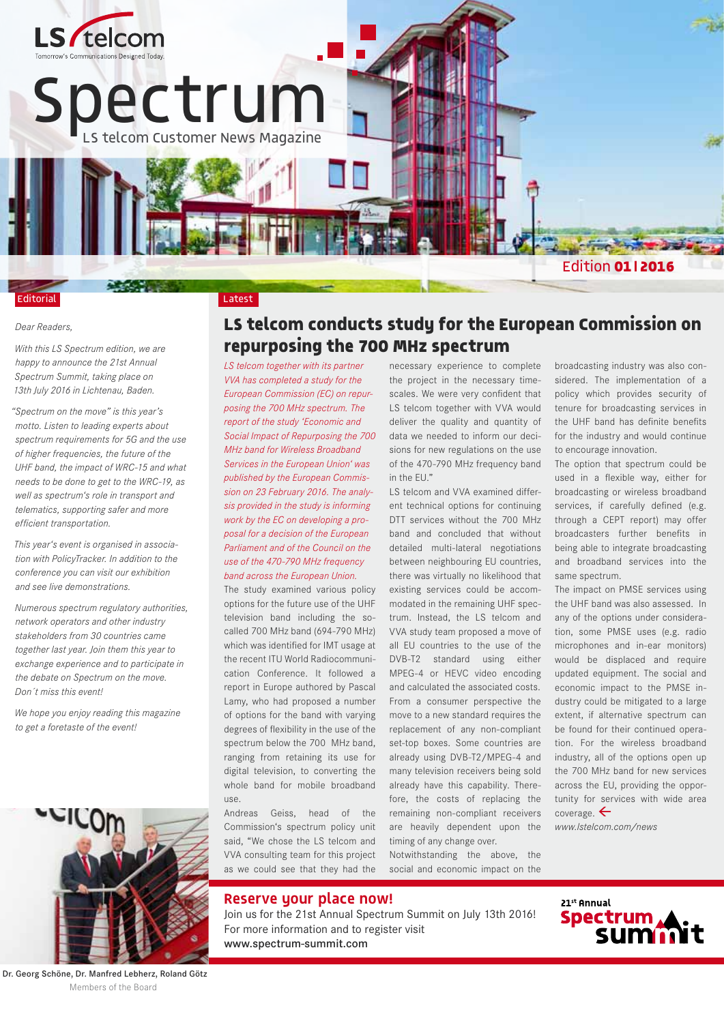

#### Editorial

#### *Dear Readers,*

*With this LS Spectrum edition, we are happy to announce the 21st Annual Spectrum Summit, taking place on 13th July 2016 in Lichtenau, Baden.* 

*"Spectrum on the move" is this year's motto. Listen to leading experts about spectrum requirements for 5G and the use of higher frequencies, the future of the UHF band, the impact of WRC-15 and what needs to be done to get to the WRC-19, as well as spectrum's role in transport and telematics, supporting safer and more efficient transportation.* 

*This year's event is organised in association with PolicyTracker. In addition to the conference you can visit our exhibition and see live demonstrations.* 

*Numerous spectrum regulatory authorities, network operators and other industry stakeholders from 30 countries came together last year. Join them this year to exchange experience and to participate in the debate on Spectrum on the move. Don´t miss this event!*

*We hope you enjoy reading this magazine to get a foretaste of the event!*



Dr. Georg Schöne, Dr. Manfred Lebherz, Roland Götz Members of the Board

#### **LS telcom conducts study for the European Commission on repurposing the 700 MHz spectrum**

*LS telcom together with its partner VVA has completed a study for the European Commission (EC) on repurposing the 700 MHz spectrum. The report of the study 'Economic and Social Impact of Repurposing the 700 MHz band for Wireless Broadband Services in the European Union' was published by the European Commission on 23 February 2016. The analysis provided in the study is informing work by the EC on developing a proposal for a decision of the European Parliament and of the Council on the use of the 470-790 MHz frequency band across the European Union.*

The study examined various policy options for the future use of the UHF television band including the socalled 700 MHz band (694-790 MHz) which was identified for IMT usage at the recent ITU World Radiocommunication Conference. It followed a report in Europe authored by Pascal Lamy, who had proposed a number of options for the band with varying degrees of flexibility in the use of the spectrum below the 700 MHz band, ranging from retaining its use for digital television, to converting the whole band for mobile broadband use.

Andreas Geiss, head of the Commission's spectrum policy unit said, "We chose the LS telcom and VVA consulting team for this project as we could see that they had the necessary experience to complete the project in the necessary timescales. We were very confident that LS telcom together with VVA would deliver the quality and quantity of data we needed to inform our decisions for new regulations on the use of the 470-790 MHz frequency band in the EU."

LS telcom and VVA examined different technical options for continuing DTT services without the 700 MHz band and concluded that without detailed multi-lateral negotiations between neighbouring EU countries, there was virtually no likelihood that existing services could be accommodated in the remaining UHF spectrum. Instead, the LS telcom and VVA study team proposed a move of all EU countries to the use of the DVB-T2 standard using either MPEG-4 or HEVC video encoding and calculated the associated costs. From a consumer perspective the move to a new standard requires the replacement of any non-compliant set-top boxes. Some countries are already using DVB-T2/MPEG-4 and many television receivers being sold already have this capability. Therefore, the costs of replacing the remaining non-compliant receivers are heavily dependent upon the timing of any change over.

Notwithstanding the above, the social and economic impact on the broadcasting industry was also considered. The implementation of a policy which provides security of tenure for broadcasting services in the UHF band has definite benefits for the industry and would continue to encourage innovation.

The option that spectrum could be used in a flexible way, either for broadcasting or wireless broadband services, if carefully defined (e.g. through a CEPT report) may offer broadcasters further benefits in being able to integrate broadcasting and broadband services into the same spectrum.

The impact on PMSE services using the UHF band was also assessed. In any of the options under consideration, some PMSE uses (e.g. radio microphones and in-ear monitors) would be displaced and require updated equipment. The social and economic impact to the PMSE industry could be mitigated to a large extent, if alternative spectrum can be found for their continued operation. For the wireless broadband industry, all of the options open up the 700 MHz band for new services across the EU, providing the opportunity for services with wide area coverage.  $\leftarrow$ 

*www.lstelcom.com/news*



Join us for the 21st Annual Spectrum Summit on July 13th 2016! For more information and to register visit www.spectrum-summit.com

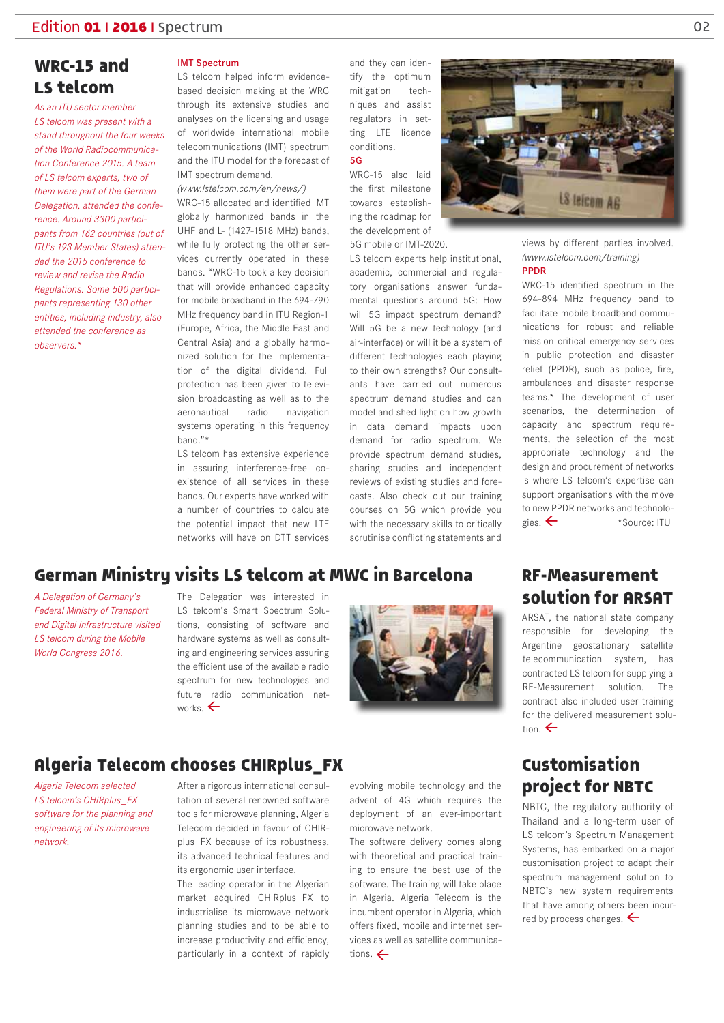#### **WRC-15 and LS telcom**

*As an ITU sector member LS telcom was present with a stand throughout the four weeks of the World Radiocommunication Conference 2015. A team of LS telcom experts, two of them were part of the German Delegation, attended the conference. Around 3300 participants from 162 countries (out of ITU's 193 Member States) attended the 2015 conference to review and revise the Radio Regulations. Some 500 participants representing 130 other entities, including industry, also attended the conference as observers.\**

#### IMT Spectrum

LS telcom helped inform evidencebased decision making at the WRC through its extensive studies and analyses on the licensing and usage of worldwide international mobile telecommunications (IMT) spectrum and the ITU model for the forecast of IMT spectrum demand.

*(www.lstelcom.com/en/news/)*

WRC-15 allocated and identified IMT globally harmonized bands in the UHF and L- (1427-1518 MHz) bands, while fully protecting the other services currently operated in these bands. "WRC-15 took a key decision that will provide enhanced capacity for mobile broadband in the 694-790 MHz frequency band in ITU Region-1 (Europe, Africa, the Middle East and Central Asia) and a globally harmonized solution for the implementation of the digital dividend. Full protection has been given to television broadcasting as well as to the aeronautical radio navigation systems operating in this frequency band."\*

LS telcom has extensive experience in assuring interference-free coexistence of all services in these bands. Our experts have worked with a number of countries to calculate the potential impact that new LTE networks will have on DTT services

and they can identify the optimum mitigation techniques and assist regulators in setting LTE licence conditions. 5G

WRC-15 also laid the first milestone towards establishing the roadmap for the development of 5G mobile or IMT-2020.

LS telcom experts help institutional, academic, commercial and regulatory organisations answer fundamental questions around 5G: How will 5G impact spectrum demand? Will 5G be a new technology (and air-interface) or will it be a system of different technologies each playing to their own strengths? Our consultants have carried out numerous spectrum demand studies and can model and shed light on how growth in data demand impacts upon demand for radio spectrum. We provide spectrum demand studies, sharing studies and independent reviews of existing studies and forecasts. Also check out our training courses on 5G which provide you with the necessary skills to critically scrutinise conflicting statements and



views by different parties involved. *(www.lstelcom.com/training)* PPDR

WRC-15 identified spectrum in the 694-894 MHz frequency band to facilitate mobile broadband communications for robust and reliable mission critical emergency services in public protection and disaster relief (PPDR), such as police, fire, ambulances and disaster response teams.\* The development of user scenarios, the determination of capacity and spectrum requirements, the selection of the most appropriate technology and the design and procurement of networks is where LS telcom's expertise can support organisations with the move to new PPDR networks and technologies.  $\leftarrow$  \*Source: ITU

### **German Ministry visits LS telcom at MWC in Barcelona**

*A Delegation of Germany's Federal Ministry of Transport and Digital Infrastructure visited LS telcom during the Mobile World Congress 2016.*

The Delegation was interested in LS telcom's Smart Spectrum Solutions, consisting of software and hardware systems as well as consulting and engineering services assuring the efficient use of the available radio spectrum for new technologies and future radio communication networks.  $\leftarrow$ 



#### **RF-Measurement solution for ARSAT**

ARSAT, the national state company responsible for developing the Argentine geostationary satellite telecommunication system, has contracted LS telcom for supplying a RF-Measurement solution. The contract also included user training for the delivered measurement solution  $\leftarrow$ 

#### **Algeria Telecom chooses CHIRplus\_FX**

*Algeria Telecom selected LS telcom's CHIRplus\_FX software for the planning and engineering of its microwave network.*

After a rigorous international consultation of several renowned software tools for microwave planning, Algeria Telecom decided in favour of CHIRplus FX because of its robustness, its advanced technical features and its ergonomic user interface.

The leading operator in the Algerian market acquired CHIRplus\_FX to industrialise its microwave network planning studies and to be able to increase productivity and efficiency, particularly in a context of rapidly evolving mobile technology and the advent of 4G which requires the deployment of an ever-important microwave network.

The software delivery comes along with theoretical and practical training to ensure the best use of the software. The training will take place in Algeria. Algeria Telecom is the incumbent operator in Algeria, which offers fixed, mobile and internet services as well as satellite communications.  $\leftarrow$ 

# **Customisation project for NBTC**

NBTC, the regulatory authority of Thailand and a long-term user of LS telcom's Spectrum Management Systems, has embarked on a major customisation project to adapt their spectrum management solution to NBTC's new system requirements that have among others been incurred by process changes.  $\leftarrow$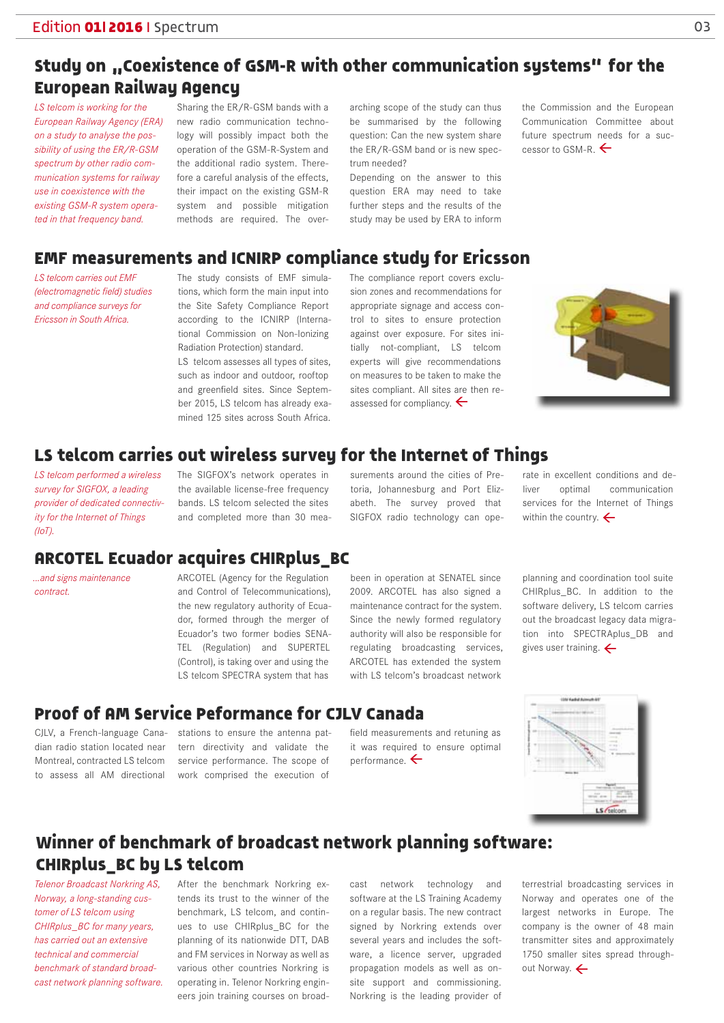# Study on "Coexistence of GSM-R with other communication systems" for the **European Railway Agency**

*LS telcom is working for the European Railway Agency (ERA) on a study to analyse the possibility of using the ER/R-GSM spectrum by other radio communication systems for railway use in coexistence with the existing GSM-R system operated in that frequency band.*

Sharing the ER/R-GSM bands with a new radio communication technology will possibly impact both the operation of the GSM-R-System and the additional radio system. Therefore a careful analysis of the effects, their impact on the existing GSM-R system and possible mitigation methods are required. The over-

arching scope of the study can thus be summarised by the following question: Can the new system share the ER/R-GSM band or is new spectrum needed?

Depending on the answer to this question ERA may need to take further steps and the results of the study may be used by ERA to inform the Commission and the European Communication Committee about future spectrum needs for a successor to GSM-R.  $\leftarrow$ 

#### **EMF measurements and ICNIRP compliance study for Ericsson**

*LS telcom carries out EMF (electromagnetic field) studies and compliance surveys for Ericsson in South Africa.*

The study consists of EMF simulations, which form the main input into the Site Safety Compliance Report according to the ICNIRP (International Commission on Non-Ionizing Radiation Protection) standard.

LS telcom assesses all types of sites, such as indoor and outdoor, rooftop and greenfield sites. Since September 2015, LS telcom has already examined 125 sites across South Africa.

The compliance report covers exclusion zones and recommendations for appropriate signage and access control to sites to ensure protection against over exposure. For sites initially not-compliant, LS telcom experts will give recommendations on measures to be taken to make the sites compliant. All sites are then reassessed for compliancy.  $\leftarrow$ 



### **LS telcom carries out wireless survey for the Internet of Things**

*LS telcom performed a wireless survey for SIGFOX, a leading provider of dedicated connectivity for the Internet of Things (IoT).* 

The SIGFOX's network operates in the available license-free frequency bands. LS telcom selected the sites and completed more than 30 mea-

surements around the cities of Pretoria, Johannesburg and Port Elizabeth. The survey proved that SIGFOX radio technology can operate in excellent conditions and deliver optimal communication services for the Internet of Things within the country.  $\leftarrow$ 

### **ARCOTEL Ecuador acquires CHIRplus\_BC**

*...and signs maintenance contract.* 

ARCOTEL (Agency for the Regulation and Control of Telecommunications), the new regulatory authority of Ecuador, formed through the merger of Ecuador's two former bodies SENA-TEL (Regulation) and SUPERTEL (Control), is taking over and using the LS telcom SPECTRA system that has

been in operation at SENATEL since 2009. ARCOTEL has also signed a maintenance contract for the system. Since the newly formed regulatory authority will also be responsible for regulating broadcasting services, ARCOTEL has extended the system with LS telcom's broadcast network

planning and coordination tool suite CHIRplus\_BC. In addition to the software delivery, LS telcom carries out the broadcast legacy data migration into SPECTRAplus\_DB and gives user training.  $\leftarrow$ 

### **Proof of AM Service Peformance for CJLV Canada**

dian radio station located near Montreal, contracted LS telcom to assess all AM directional

CJLV, a French-language Cana-stations to ensure the antenna pattern directivity and validate the service performance. The scope of work comprised the execution of

field measurements and retuning as it was required to ensure optimal performance.  $\leftarrow$ 



### **Winner of benchmark of broadcast network planning software: CHIRplus\_BC by LS telcom**

*Telenor Broadcast Norkring AS, Norway, a long-standing customer of LS telcom using CHIRplus\_BC for many years, has carried out an extensive technical and commercial benchmark of standard broadcast network planning software.*  After the benchmark Norkring extends its trust to the winner of the benchmark, LS telcom, and continues to use CHIRplus\_BC for the planning of its nationwide DTT, DAB and FM services in Norway as well as various other countries Norkring is operating in. Telenor Norkring engineers join training courses on broadcast network technology and software at the LS Training Academy on a regular basis. The new contract signed by Norkring extends over several years and includes the software, a licence server, upgraded propagation models as well as onsite support and commissioning. Norkring is the leading provider of

terrestrial broadcasting services in Norway and operates one of the largest networks in Europe. The company is the owner of 48 main transmitter sites and approximately 1750 smaller sites spread throughout Norway. <